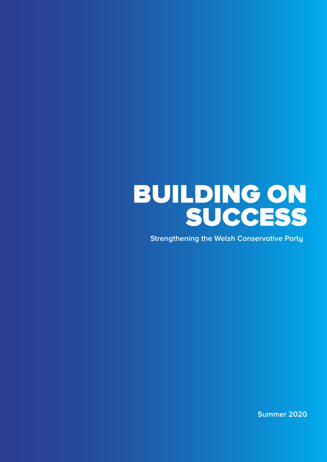# BUILDING ON SUCCESS

**Strengthening the Welsh Conservative Party**

**Summer 2020**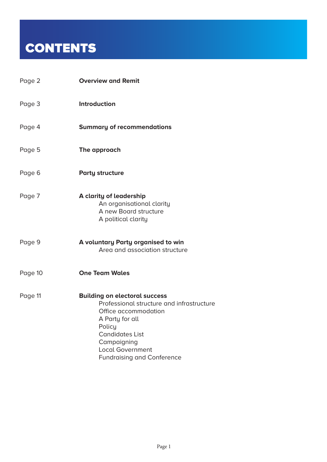## **CONTENTS**

| Page 2  | <b>Overview and Remit</b>                                                                                                                                                                                                                       |
|---------|-------------------------------------------------------------------------------------------------------------------------------------------------------------------------------------------------------------------------------------------------|
| Page 3  | <b>Introduction</b>                                                                                                                                                                                                                             |
| Page 4  | <b>Summary of recommendations</b>                                                                                                                                                                                                               |
| Page 5  | The approach                                                                                                                                                                                                                                    |
| Page 6  | <b>Party structure</b>                                                                                                                                                                                                                          |
| Page 7  | A clarity of leadership<br>An organisational clarity<br>A new Board structure<br>A political clarity                                                                                                                                            |
| Page 9  | A voluntary Party organised to win<br>Area and association structure                                                                                                                                                                            |
| Page 10 | <b>One Team Wales</b>                                                                                                                                                                                                                           |
| Page 11 | <b>Building on electoral success</b><br>Professional structure and infrastructure<br>Office accommodation<br>A Party for all<br>Policy<br><b>Candidates List</b><br>Campaigning<br><b>Local Government</b><br><b>Fundraising and Conference</b> |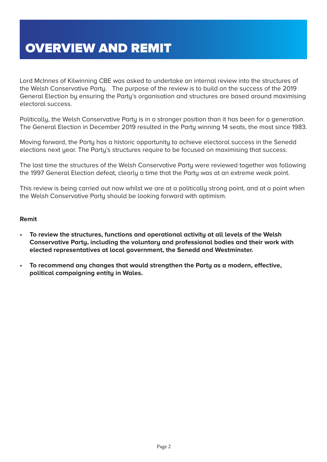Lord McInnes of Kilwinning CBE was asked to undertake an internal review into the structures of the Welsh Conservative Party. The purpose of the review is to build on the success of the 2019 General Election by ensuring the Party's organisation and structures are based around maximising electoral success.

Politically, the Welsh Conservative Party is in a stronger position than it has been for a generation. The General Election in December 2019 resulted in the Party winning 14 seats, the most since 1983.

Moving forward, the Party has a historic opportunity to achieve electoral success in the Senedd elections next year. The Party's structures require to be focused on maximising that success.

The last time the structures of the Welsh Conservative Party were reviewed together was following the 1997 General Election defeat, clearly a time that the Party was at an extreme weak point.

This review is being carried out now whilst we are at a politically strong point, and at a point when the Welsh Conservative Party should be looking forward with optimism.

#### **Remit**

- **• To review the structures, functions and operational activity at all levels of the Welsh Conservative Party, including the voluntary and professional bodies and their work with elected representatives at local government, the Senedd and Westminster.**
- **• To recommend any changes that would strengthen the Party as a modern, effective, political campaigning entity in Wales.**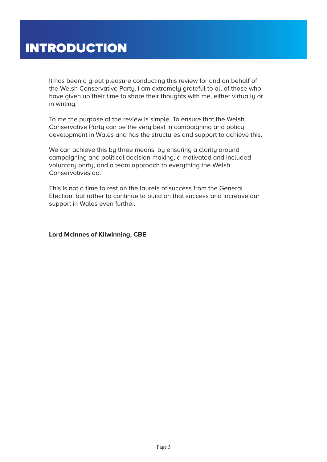It has been a great pleasure conducting this review for and on behalf of the Welsh Conservative Party. I am extremely grateful to all of those who have given up their time to share their thoughts with me, either virtually or in writing.

To me the purpose of the review is simple. To ensure that the Welsh Conservative Party can be the very best in campaigning and policy development in Wales and has the structures and support to achieve this.

We can achieve this by three means: by ensuring a clarity around campaigning and political decision-making, a motivated and included voluntary party, and a team approach to everything the Welsh Conservatives do.

This is not a time to rest on the laurels of success from the General Election, but rather to continue to build on that success and increase our support in Wales even further.

**Lord McInnes of Kilwinning, CBE**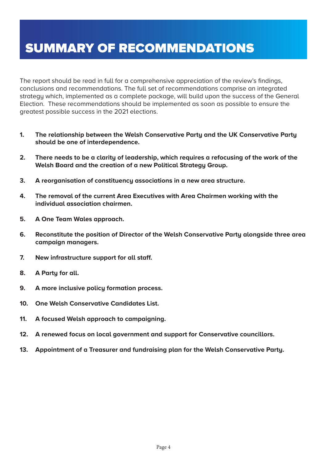### SUMMARY OF RECOMMENDATIONS

The report should be read in full for a comprehensive appreciation of the review's findings, conclusions and recommendations. The full set of recommendations comprise an integrated strategy which, implemented as a complete package, will build upon the success of the General Election. These recommendations should be implemented as soon as possible to ensure the greatest possible success in the 2021 elections.

- **1. The relationship between the Welsh Conservative Party and the UK Conservative Party should be one of interdependence.**
- **2. There needs to be a clarity of leadership, which requires a refocusing of the work of the Welsh Board and the creation of a new Political Strategy Group.**
- **3. A reorganisation of constituency associations in a new area structure.**
- **4. The removal of the current Area Executives with Area Chairmen working with the individual association chairmen.**
- **5. A One Team Wales approach.**
- **6. Reconstitute the position of Director of the Welsh Conservative Party alongside three area campaign managers.**
- **7. New infrastructure support for all staff.**
- **8. A Party for all.**
- **9. A more inclusive policy formation process.**
- **10. One Welsh Conservative Candidates List.**
- **11. A focused Welsh approach to campaigning.**
- **12. A renewed focus on local government and support for Conservative councillors.**
- **13. Appointment of a Treasurer and fundraising plan for the Welsh Conservative Party.**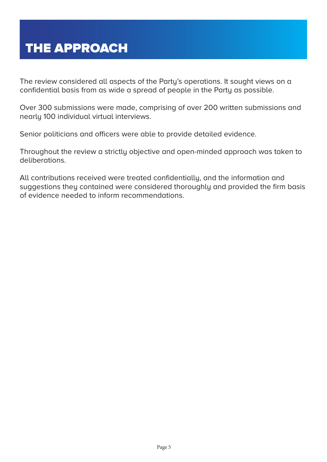The review considered all aspects of the Party's operations. It sought views on a confidential basis from as wide a spread of people in the Party as possible.

Over 300 submissions were made, comprising of over 200 written submissions and nearly 100 individual virtual interviews.

Senior politicians and officers were able to provide detailed evidence.

Throughout the review a strictly objective and open-minded approach was taken to deliberations.

All contributions received were treated confidentially, and the information and suggestions they contained were considered thoroughly and provided the firm basis of evidence needed to inform recommendations.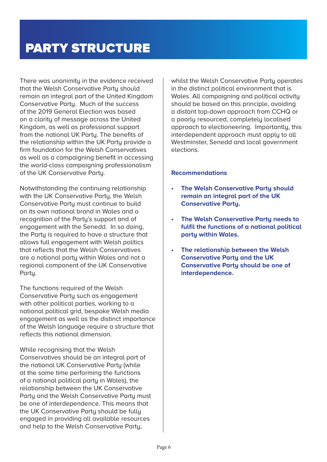There was unanimity in the evidence received that the Welsh Conservative Party should remain an integral part of the United Kingdom Conservative Party. Much of the success of the 2019 General Election was based on a clarity of message across the United Kingdom, as well as professional support from the national UK Party. The benefits of the relationship within the UK Party provide a firm foundation for the Welsh Conservatives as well as a campaigning benefit in accessing the world-class campaigning professionalism of the UK Conservative Party.

Notwithstanding the continuing relationship with the UK Conservative Party, the Welsh Conservative Party must continue to build on its own national brand in Wales and a recognition of the Party's support and of engagement with the Senedd. In so doing, the Party is required to have a structure that allows full engagement with Welsh politics that reflects that the Welsh Conservatives are a national party within Wales and not a regional component of the UK Conservative Party.

The functions required of the Welsh Conservative Party such as engagement with other political parties, working to a national political grid, bespoke Welsh media engagement as well as the distinct importance of the Welsh language require a structure that reflects this national dimension.

While recognising that the Welsh Conservatives should be an integral part of the national UK Conservative Party (while at the same time performing the functions of a national political party in Wales), the relationship between the UK Conservative Party and the Welsh Conservative Party must be one of interdependence. This means that the UK Conservative Party should be fully engaged in providing all available resources and help to the Welsh Conservative Party,

whilst the Welsh Conservative Party operates in the distinct political environment that is Wales. All campaigning and political activity should be based on this principle, avoiding a distant top-down approach from CCHQ or a poorly resourced, completely localised approach to electioneering. Importantly, this interdependent approach must apply to all Westminster, Senedd and local government elections.

- **• The Welsh Conservative Party should remain an integral part of the UK Conservative Party.**
- **• The Welsh Conservative Party needs to fulfil the functions of a national political party within Wales.**
- **• The relationship between the Welsh Conservative Party and the UK Conservative Party should be one of interdependence.**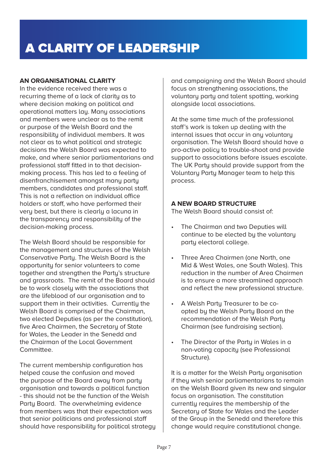### **AN ORGANISATIONAL CLARITY**

In the evidence received there was a recurring theme of a lack of clarity as to where decision making on political and operational matters lay. Many associations and members were unclear as to the remit or purpose of the Welsh Board and the responsibility of individual members. It was not clear as to what political and strategic decisions the Welsh Board was expected to make, and where senior parliamentarians and professional staff fitted in to that decisionmaking process. This has led to a feeling of disenfranchisement amongst many party members, candidates and professional staff. This is not a reflection on individual office holders or staff, who have performed their very best, but there is clearly a lacuna in the transparency and responsibility of the decision-making process.

The Welsh Board should be responsible for the management and structures of the Welsh Conservative Party. The Welsh Board is the opportunity for senior volunteers to come together and strengthen the Party's structure and grassroots. The remit of the Board should be to work closely with the associations that are the lifeblood of our organisation and to support them in their activities. Currently the Welsh Board is comprised of the Chairman, two elected Deputies (as per the constitution), five Area Chairmen, the Secretary of State for Wales, the Leader in the Senedd and the Chairman of the Local Government Committee.

The current membership configuration has helped cause the confusion and moved the purpose of the Board away from party organisation and towards a political function - this should not be the function of the Welsh Party Board. The overwhelming evidence from members was that their expectation was that senior politicians and professional staff should have responsibility for political strategy and campaigning and the Welsh Board should focus on strengthening associations, the voluntary party and talent spotting, working alongside local associations.

At the same time much of the professional staff's work is taken up dealing with the internal issues that occur in any voluntary organisation. The Welsh Board should have a pro-active policy to trouble-shoot and provide support to associations before issues escalate. The UK Party should provide support from the Voluntary Party Manager team to help this process.

### **A NEW BOARD STRUCTURE**

The Welsh Board should consist of:

- The Chairman and two Deputies will continue to be elected by the voluntary party electoral college.
- Three Area Chairmen (one North, one Mid & West Wales, one South Wales). This reduction in the number of Area Chairmen is to ensure a more streamlined approach and reflect the new professional structure.
- A Welsh Partu Treasurer to be coopted by the Welsh Party Board on the recommendation of the Welsh Party Chairman (see fundraising section).
- The Director of the Party in Wales in a non-voting capacity (see Professional Structure).

It is a matter for the Welsh Party organisation if they wish senior parliamentarians to remain on the Welsh Board given its new and singular focus on organisation. The constitution currently requires the membership of the Secretary of State for Wales and the Leader of the Group in the Senedd and therefore this change would require constitutional change.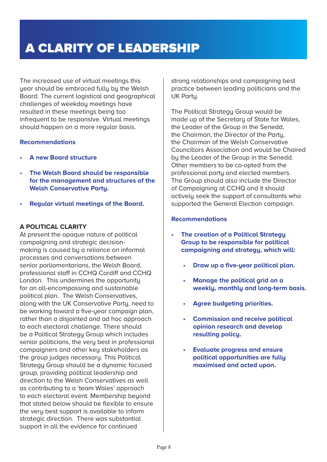### A CLARITY OF LEADERSHIP

The increased use of virtual meetings this year should be embraced fully by the Welsh Board. The current logistical and geographical challenges of weekday meetings have resulted in these meetings being too infrequent to be responsive. Virtual meetings should happen on a more regular basis.

### **Recommendations**

- **• A new Board structure**
- **• The Welsh Board should be responsible for the management and structures of the Welsh Conservative Party.**
- **• Regular virtual meetings of the Board.**

### **A POLITICAL CLARITY**

At present the opaque nature of political campaigning and strategic decisionmaking is caused by a reliance on informal processes and conversations between senior parliamentarians, the Welsh Board, professional staff in CCHQ Cardiff and CCHQ London. This undermines the opportunity for an all-encompassing and sustainable political plan. The Welsh Conservatives, along with the UK Conservative Party, need to be working toward a five-year campaign plan, rather than a disjointed and ad hoc approach to each electoral challenge. There should be a Political Strategy Group which includes senior politicians, the very best in professional campaigners and other key stakeholders as the group judges necessary. This Political Strategy Group should be a dynamic focused group, providing political leadership and direction to the Welsh Conservatives as well as contributing to a 'team Wales' approach to each electoral event. Membership beyond that stated below should be flexible to ensure the very best support is available to inform strategic direction. There was substantial support in all the evidence for continued

strong relationships and campaigning best practice between leading politicians and the UK Party.

The Political Strategy Group would be made up of the Secretary of State for Wales, the Leader of the Group in the Senedd, the Chairman, the Director of the Party, the Chairman of the Welsh Conservative Councillors Association and would be Chaired by the Leader of the Group in the Senedd. Other members to be co-opted from the professional party and elected members. The Group should also include the Director of Campaigning at CCHQ and it should actively seek the support of consultants who supported the General Election campaign.

- **• The creation of a Political Strategy Group to be responsible for political campaigning and strategy, which will:**
	- **• Draw up a five-year political plan.**
	- **• Manage the political grid on a weekly, monthly and long-term basis.**
	- **• Agree budgeting priorities.**
	- **• Commission and receive political opinion research and develop resulting policy.**
	- **• Evaluate progress and ensure political opportunities are fully maximised and acted upon.**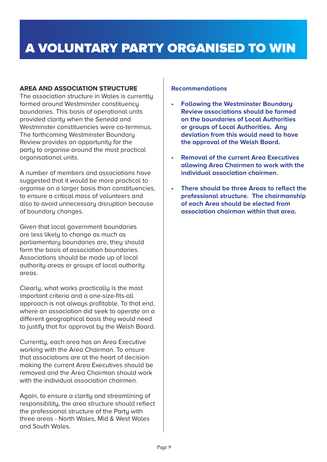### **AREA AND ASSOCIATION STRUCTURE**

The association structure in Wales is currently formed around Westminster constituency boundaries. This basis of operational units provided clarity when the Senedd and Westminster constituencies were co-terminus. The forthcoming Westminster Boundary Review provides an opportunity for the party to organise around the most practical organisational units.

A number of members and associations have suggested that it would be more practical to organise on a larger basis than constituencies, to ensure a critical mass of volunteers and also to avoid unnecessary disruption because of boundary changes.

Given that local government boundaries are less likely to change as much as parliamentary boundaries are, they should form the basis of association boundaries. Associations should be made up of local authority areas or groups of local authority areas.

Clearly, what works practically is the most important criteria and a one-size-fits-all approach is not always profitable. To that end, where an association did seek to operate on a different geographical basis they would need to justify that for approval by the Welsh Board.

Currently, each area has an Area Executive working with the Area Chairman. To ensure that associations are at the heart of decision making the current Area Executives should be removed and the Area Chairman should work with the individual association chairmen.

Again, to ensure a clarity and streamlining of responsibility, the area structure should reflect the professional structure of the Party with three areas - North Wales, Mid & West Wales and South Wales.

- **• Following the Westminster Boundary Review associations should be formed on the boundaries of Local Authorities or groups of Local Authorities. Any deviation from this would need to have the approval of the Welsh Board.**
- **• Removal of the current Area Executives allowing Area Chairmen to work with the individual association chairmen.**
- **• There should be three Areas to reflect the professional structure. The chairmanship of each Area should be elected from association chairman within that area.**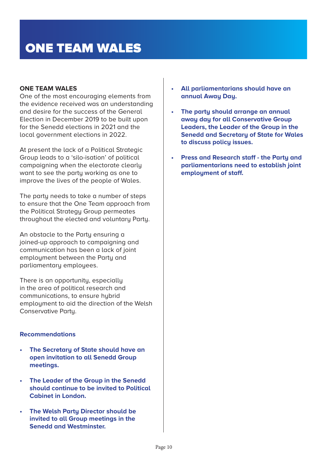### **ONE TEAM WALES**

One of the most encouraging elements from the evidence received was an understanding and desire for the success of the General Election in December 2019 to be built upon for the Senedd elections in 2021 and the local government elections in 2022.

At present the lack of a Political Strategic Group leads to a 'silo-isation' of political campaigning when the electorate clearly want to see the party working as one to improve the lives of the people of Wales.

The party needs to take a number of steps to ensure that the One Team approach from the Political Strategy Group permeates throughout the elected and voluntary Party.

An obstacle to the Party ensuring a joined-up approach to campaigning and communication has been a lack of joint employment between the Party and parliamentary employees.

There is an opportunity, especially in the area of political research and communications, to ensure hybrid employment to aid the direction of the Welsh Conservative Party.

- **• The Secretary of State should have an open invitation to all Senedd Group meetings.**
- **• The Leader of the Group in the Senedd should continue to be invited to Political Cabinet in London.**
- **• The Welsh Party Director should be invited to all Group meetings in the Senedd and Westminster.**
- **• All parliamentarians should have an annual Away Day.**
- **• The party should arrange an annual away day for all Conservative Group Leaders, the Leader of the Group in the Senedd and Secretary of State for Wales to discuss policy issues.**
- **• Press and Research staff the Party and parliamentarians need to establish joint employment of staff.**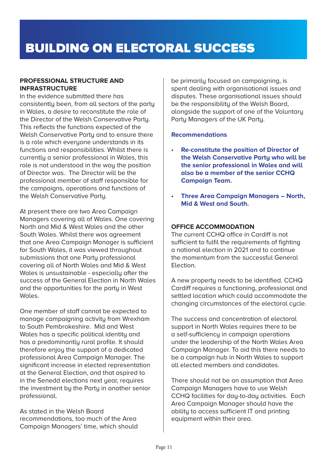### BUILDING ON ELECTORAL SUCCESS

### **PROFESSIONAL STRUCTURE AND INFRASTRUCTURE**

In the evidence submitted there has consistently been, from all sectors of the party in Wales, a desire to reconstitute the role of the Director of the Welsh Conservative Party. This reflects the functions expected of the Welsh Conservative Party and to ensure there is a role which everyone understands in its functions and responsibilities. Whilst there is currently a senior professional in Wales, this role is not understood in the way the position of Director was. The Director will be the professional member of staff responsible for the campaigns, operations and functions of the Welsh Conservative Party.

At present there are two Area Campaign Managers covering all of Wales. One covering North and Mid & West Wales and the other South Wales. Whilst there was agreement that one Area Campaign Manager is sufficient for South Wales, it was viewed throughout submissions that one Party professional covering all of North Wales and Mid & West Wales is unsustainable - especially after the success of the General Election in North Wales and the opportunities for the party in West Wales.

One member of staff cannot be expected to manage campaigning activity from Wrexham to South Pembrokeshire. Mid and West Wales has a specific political identity and has a predominantly rural profile. It should therefore enjoy the support of a dedicated professional Area Campaign Manager. The significant increase in elected representation at the General Election, and that aspired to in the Senedd elections next year, requires the investment by the Party in another senior professional.

As stated in the Welsh Board recommendations, too much of the Area Campaign Managers' time, which should be primarily focused on campaigning, is spent dealing with organisational issues and disputes. These organisational issues should be the responsibility of the Welsh Board, alongside the support of one of the Voluntary Party Managers of the UK Party.

### **Recommendations**

- **• Re-constitute the position of Director of the Welsh Conservative Party who will be the senior professional in Wales and will also be a member of the senior CCHQ Campaign Team.**
- **• Three Area Campaign Managers North, Mid & West and South.**

### **OFFICE ACCOMMODATION**

The current CCHQ office in Cardiff is not sufficient to fulfil the requirements of fighting a national election in 2021 and to continue the momentum from the successful General Election.

A new property needs to be identified. CCHQ Cardiff requires a functioning, professional and settled location which could accommodate the changing circumstances of the electoral cucle.

The success and concentration of electoral support in North Wales requires there to be a self-sufficiency in campaign operations under the leadership of the North Wales Area Campaign Manager. To aid this there needs to be a campaign hub in North Wales to support all elected members and candidates.

There should not be an assumption that Area Campaign Managers have to use Welsh CCHQ facilities for day-to-day activities. Each Area Campaign Manager should have the ability to access sufficient IT and printing equipment within their area.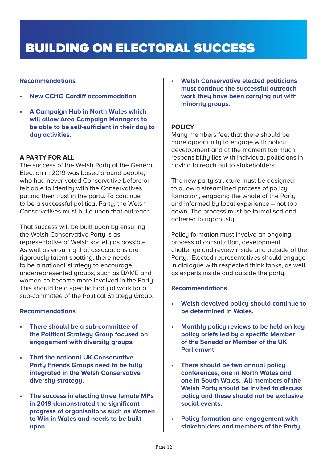### BUILDING ON ELECTORAL SUCCESS

### **Recommendations**

- **• New CCHQ Cardiff accommodation**
- **• A Campaign Hub in North Wales which will allow Area Campaign Managers to be able to be self-sufficient in their day to day activities.**

### **A PARTY FOR ALL**

The success of the Welsh Party at the General Election in 2019 was based around people, who had never voted Conservative before or felt able to identify with the Conservatives, putting their trust in the party. To continue to be a successful political Party, the Welsh Conservatives must build upon that outreach.

That success will be built upon by ensuring the Welsh Conservative Party is as representative of Welsh society as possible. As well as ensuring that associations are rigorously talent spotting, there needs to be a national strategy to encourage underrepresented groups, such as BAME and women, to become more involved in the Party. This should be a specific body of work for a sub-committee of the Political Strategy Group.

### **Recommendations**

- **• There should be a sub-committee of the Political Strategy Group focused on engagement with diversity groups.**
- **• That the national UK Conservative Party Friends Groups need to be fully integrated in the Welsh Conservative diversity strategy.**
- **• The success in electing three female MPs in 2019 demonstrated the significant progress of organisations such as Women to Win in Wales and needs to be built upon.**

**• Welsh Conservative elected politicians must continue the successful outreach work they have been carrying out with minority groups.** 

### **POLICY**

Many members feel that there should be more opportunity to engage with policy development and at the moment too much responsibility lies with individual politicians in having to reach out to stakeholders.

The new party structure must be designed to allow a streamlined process of policy formation, engaging the whole of the Party and informed by local experience – not top down. The process must be formalised and adhered to rigorously.

Policy formation must involve an ongoing process of consultation, development, challenge and review inside and outside of the Party. Elected representatives should engage in dialogue with respected think tanks, as well as experts inside and outside the party.

- **• Welsh devolved policy should continue to be determined in Wales.**
- **• Monthly policy reviews to be held on key policy briefs led by a specific Member of the Senedd or Member of the UK Parliament.**
- **• There should be two annual policy conferences, one in North Wales and one in South Wales. All members of the Welsh Party should be invited to discuss policy and these should not be exclusive social events.**
- **• Policy formation and engagement with stakeholders and members of the Party**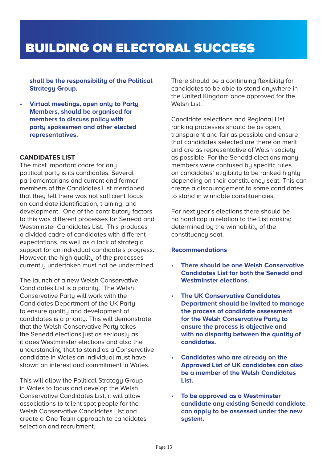### BUILDING ON ELECTORAL SUCCESS

**shall be the responsibility of the Political Strategy Group.** 

**• Virtual meetings, open only to Party Members, should be organised for members to discuss policy with party spokesmen and other elected representatives.**

### **CANDIDATES LIST**

The most important cadre for any political party is its candidates. Several parliamentarians and current and former members of the Candidates List mentioned that they felt there was not sufficient focus on candidate identification, training, and development. One of the contributory factors to this was different processes for Senedd and Westminster Candidates List. This produces a divided cadre of candidates with different expectations, as well as a lack of strategic support for an individual candidate's progress. However, the high quality of the processes currently undertaken must not be undermined.

The launch of a new Welsh Conservative Candidates List is a priority. The Welsh Conservative Party will work with the Candidates Department of the UK Party to ensure quality and development of candidates is a priority. This will demonstrate that the Welsh Conservative Party takes the Senedd elections just as seriously as it does Westminster elections and also the understanding that to stand as a Conservative candidate in Wales an individual must have shown an interest and commitment in Wales.

This will allow the Political Strategy Group in Wales to focus and develop the Welsh Conservative Candidates List, it will allow associations to talent spot people for the Welsh Conservative Candidates List and create a One Team approach to candidates selection and recruitment.

There should be a continuing flexibility for candidates to be able to stand anywhere in the United Kingdom once approved for the Welsh List.

Candidate selections and Regional List ranking processes should be as open, transparent and fair as possible and ensure that candidates selected are there on merit and are as representative of Welsh society as possible. For the Senedd elections many members were confused by specific rules on candidates' eligibility to be ranked highly depending on their constituency seat. This can create a discouragement to some candidates to stand in winnable constituencies.

For next year's elections there should be no handicap in relation to the List ranking determined by the winnability of the constituency seat.

- **• There should be one Welsh Conservative Candidates List for both the Senedd and Westminster elections.**
- **• The UK Conservative Candidates Department should be invited to manage the process of candidate assessment for the Welsh Conservative Party to ensure the process is objective and with no disparity between the quality of candidates.**
- **• Candidates who are already on the Approved List of UK candidates can also be a member of the Welsh Candidates List.**
- **• To be approved as a Westminster candidate any existing Senedd candidate can apply to be assessed under the new system.**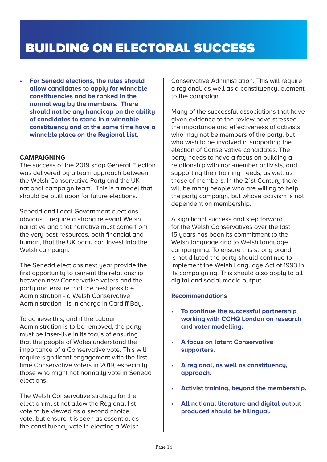**• For Senedd elections, the rules should allow candidates to apply for winnable constituencies and be ranked in the normal way by the members. There should not be any handicap on the ability of candidates to stand in a winnable constituency and at the same time have a winnable place on the Regional List.** 

### **CAMPAIGNING**

The success of the 2019 snap General Election was delivered by a team approach between the Welsh Conservative Party and the UK national campaign team. This is a model that should be built upon for future elections.

Senedd and Local Government elections obviously require a strong relevant Welsh narrative and that narrative must come from the very best resources, both financial and human, that the UK party can invest into the Welsh campaign.

The Senedd elections next year provide the first opportunity to cement the relationship between new Conservative voters and the party and ensure that the best possible Administration - a Welsh Conservative Administration - is in charge in Cardiff Bay.

To achieve this, and if the Labour Administration is to be removed, the party must be laser-like in its focus of ensuring that the people of Wales understand the importance of a Conservative vote. This will require significant engagement with the first time Conservative voters in 2019, especially those who might not normally vote in Senedd elections.

The Welsh Conservative strategy for the election must not allow the Regional list vote to be viewed as a second choice vote, but ensure it is seen as essential as the constituency vote in electing a Welsh

Conservative Administration. This will require a regional, as well as a constituency, element to the campaign.

Many of the successful associations that have given evidence to the review have stressed the importance and effectiveness of activists who may not be members of the party, but who wish to be involved in supporting the election of Conservative candidates. The party needs to have a focus on building a relationship with non-member activists, and supporting their training needs, as well as those of members. In the 21st Centuru there will be many people who are willing to help the party campaign, but whose activism is not dependent on membership.

A significant success and step forward for the Welsh Conservatives over the last 15 years has been its commitment to the Welsh language and to Welsh language campaigning. To ensure this strong brand is not diluted the party should continue to implement the Welsh Language Act of 1993 in its campaigning. This should also apply to all digital and social media output.

- **• To continue the successful partnership working with CCHQ London on research and voter modelling.**
- **• A focus on latent Conservative supporters.**
- **• A regional, as well as constituency, approach.**
- **• Activist training, beyond the membership.**
- **• All national literature and digital output produced should be bilingual.**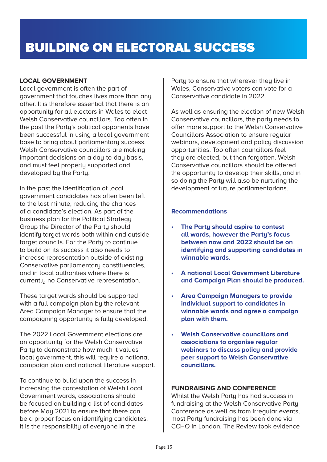### **LOCAL GOVERNMENT**

Local government is often the part of government that touches lives more than any other. It is therefore essential that there is an opportunity for all electors in Wales to elect Welsh Conservative councillors. Too often in the past the Party's political opponents have been successful in using a local government base to bring about parliamentary success. Welsh Conservative councillors are making important decisions on a day-to-day basis, and must feel properly supported and developed by the Party.

In the past the identification of local government candidates has often been left to the last minute, reducing the chances of a candidate's election. As part of the business plan for the Political Strategy Group the Director of the Party should identify target wards both within and outside target councils. For the Party to continue to build on its success it also needs to increase representation outside of existing Conservative parliamentary constituencies, and in local authorities where there is currently no Conservative representation.

These target wards should be supported with a full campaign plan by the relevant Area Campaign Manager to ensure that the campaigning opportunity is fully developed.

The 2022 Local Government elections are an opportunity for the Welsh Conservative Party to demonstrate how much it values local government, this will require a national campaign plan and national literature support.

To continue to build upon the success in increasing the contestation of Welsh Local Government wards, associations should be focused on building a list of candidates before May 2021 to ensure that there can be a proper focus on identifuing candidates. It is the responsibility of everyone in the

Party to ensure that wherever they live in Wales, Conservative voters can vote for a Conservative candidate in 2022.

As well as ensuring the election of new Welsh Conservative councillors, the party needs to offer more support to the Welsh Conservative Councillors Association to ensure regular webinars, development and policy discussion opportunities. Too often councillors feel they are elected, but then forgotten. Welsh Conservative councillors should be offered the opportunity to develop their skills, and in so doing the Party will also be nurturing the development of future parliamentarians.

### **Recommendations**

- **• The Party should aspire to contest all wards, however the Party's focus between now and 2022 should be on identifying and supporting candidates in winnable wards.**
- **• A national Local Government Literature and Campaign Plan should be produced.**
- **• Area Campaign Managers to provide individual support to candidates in winnable wards and agree a campaign plan with them.**
- **• Welsh Conservative councillors and associations to organise regular webinars to discuss policy and provide peer support to Welsh Conservative councillors.**

### **FUNDRAISING AND CONFERENCE**

Whilst the Welsh Party has had success in fundraising at the Welsh Conservative Party Conference as well as from irregular events, most Party fundraising has been done via CCHQ in London. The Review took evidence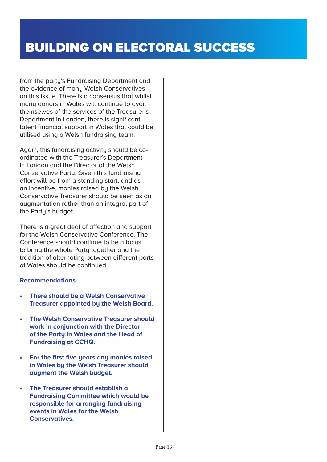from the party's Fundraising Department and the evidence of many Welsh Conservatives on this issue. There is a consensus that whilst many donors in Wales will continue to avail themselves of the services of the Treasurer's Department in London, there is significant latent financial support in Wales that could be utilised using a Welsh fundraising team.

Again, this fundraising activity should be coordinated with the Treasurer's Department in London and the Director of the Welsh Conservative Party. Given this fundraising effort will be from a standing start, and as an incentive, monies raised by the Welsh Conservative Treasurer should be seen as an augmentation rather than an integral part of the Party's budget.

There is a great deal of affection and support for the Welsh Conservative Conference. The Conference should continue to be a focus to bring the whole Party together and the tradition of alternating between different parts of Wales should be continued.

- **• There should be a Welsh Conservative Treasurer appointed by the Welsh Board.**
- **• The Welsh Conservative Treasurer should work in conjunction with the Director of the Party in Wales and the Head of Fundraising at CCHQ.**
- **• For the first five years any monies raised in Wales by the Welsh Treasurer should augment the Welsh budget.**
- **• The Treasurer should establish a Fundraising Committee which would be responsible for arranging fundraising events in Wales for the Welsh Conservatives.**